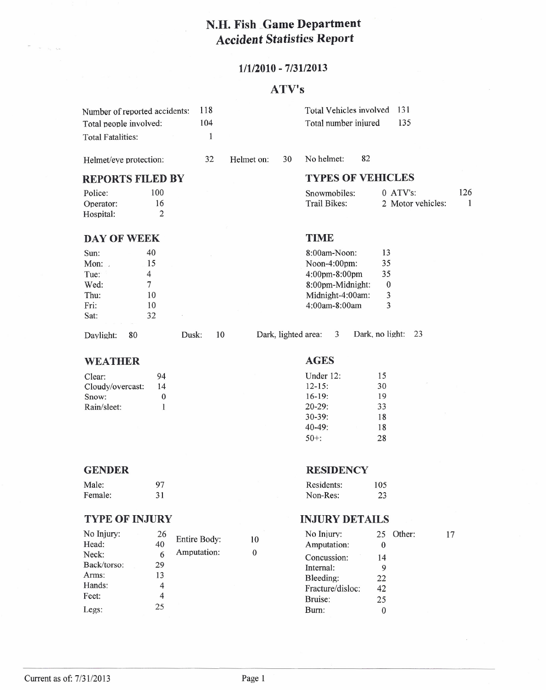# **N.H. Fish** .Game **Department Accident Statistics Report**

## **11112010 - 7/3112013**

## **ATV's**

| Number of reported accidents:<br>Total people involved:<br><b>Total Fatalities:</b> |                                                   | 118<br>104<br>1 |            |    | Total Vehicles involved<br>Total number injured                                                        | 131<br>135                               |          |
|-------------------------------------------------------------------------------------|---------------------------------------------------|-----------------|------------|----|--------------------------------------------------------------------------------------------------------|------------------------------------------|----------|
| Helmet/eye protection:                                                              |                                                   | 32              | Helmet on: | 30 | 82<br>No helmet:                                                                                       |                                          |          |
|                                                                                     | <b>REPORTS FILED BY</b>                           |                 |            |    | <b>TYPES OF VEHICLES</b>                                                                               |                                          |          |
| Police:<br>Operator:<br>Hospital:                                                   | 100<br>16<br>2                                    |                 |            |    | Snowmobiles:<br>Trail Bikes:                                                                           | $0$ ATV's:<br>2 Motor vehicles:          | 126<br>1 |
| <b>DAY OF WEEK</b>                                                                  |                                                   |                 |            |    | TIME                                                                                                   |                                          |          |
| Sun:<br>Mon:<br>Tue:<br>Wed:<br>Thu:<br>Fri:<br>Sat:                                | 40<br>15<br>4<br>$\overline{7}$<br>10<br>10<br>32 |                 |            |    | 8:00am-Noon:<br>Noon-4:00pm:<br>4:00pm-8:00pm<br>8:00pm-Midnight:<br>Midnight-4:00am:<br>4:00am-8:00am | 13<br>35<br>35<br>$\mathbf{0}$<br>3<br>3 |          |
|                                                                                     |                                                   |                 |            |    |                                                                                                        |                                          |          |

Davlight: 80 Dusk: 10 Dark, lighted area: 3 Dark, no light: 23

## **WEATHER AGES**

| 94       |
|----------|
| 14       |
| $\Omega$ |
|          |
|          |

| Under $12$ : | 15 |
|--------------|----|
| $12 - 15$ :  | 30 |
| $16-19:$     | 19 |
| $20 - 29:$   | 33 |
| $30 - 39:$   | 18 |
| $40-49:$     | 18 |
| $50+$ :      | 28 |

### **GENDER RESIDENCY**

| Male:   | 97 |
|---------|----|
| Female: | 31 |

### **TYPE OF INJURY INJURY DETAILS**

| No Injury:  | 26 | Entire Body: | 10 | No Injury:       | 25       |
|-------------|----|--------------|----|------------------|----------|
| Head:       | 40 |              |    | Amputation:      | $\theta$ |
| Neck:       |    | Amputation:  | 0  | Concussion:      | 14       |
| Back/torso: | 29 |              |    | Internal:        | 9        |
| Arms:       | 13 |              |    | Bleeding:        | 22       |
| Hands:      |    |              |    | Fracture/disloc: | 42       |
| Feet:       |    |              |    | Bruise:          | 25       |
| Legs:       | 25 |              |    | Burn:            | $\Omega$ |

# Non-Res: 23

Residents: 105

| No Injury:       | 25  |  |
|------------------|-----|--|
| Amputation:      | 0   |  |
| Concussion:      | 14  |  |
| Internal:        | 9   |  |
| Bleeding:        | 22. |  |
| Fracture/disloc: | 42  |  |
| Bruise:          | 25  |  |
| Burn:            |     |  |

Other: 17